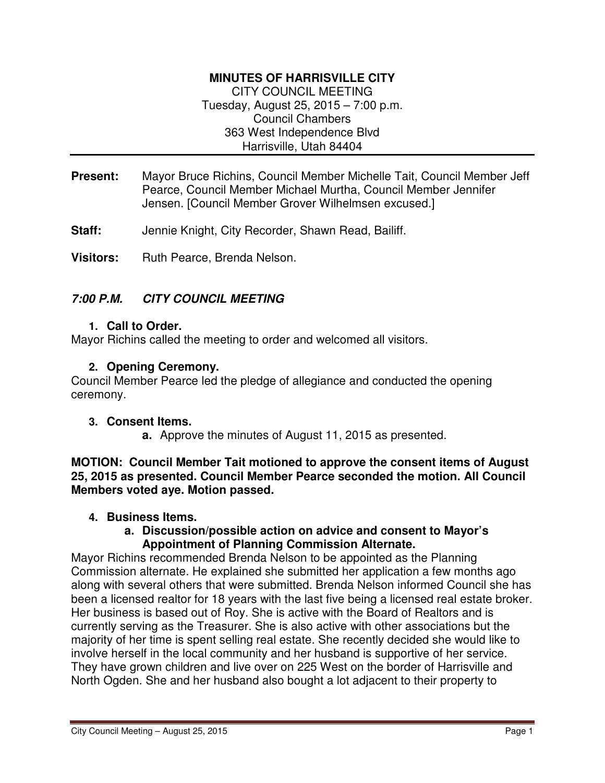# **MINUTES OF HARRISVILLE CITY**

CITY COUNCIL MEETING Tuesday, August 25, 2015 – 7:00 p.m. Council Chambers 363 West Independence Blvd Harrisville, Utah 84404

- **Present:** Mayor Bruce Richins, Council Member Michelle Tait, Council Member Jeff Pearce, Council Member Michael Murtha, Council Member Jennifer Jensen. [Council Member Grover Wilhelmsen excused.]
- **Staff:** Jennie Knight, City Recorder, Shawn Read, Bailiff.

**Visitors:** Ruth Pearce, Brenda Nelson.

# **7:00 P.M. CITY COUNCIL MEETING**

#### **1. Call to Order.**

Mayor Richins called the meeting to order and welcomed all visitors.

## **2. Opening Ceremony.**

Council Member Pearce led the pledge of allegiance and conducted the opening ceremony.

#### **3. Consent Items.**

**a.** Approve the minutes of August 11, 2015 as presented.

**MOTION: Council Member Tait motioned to approve the consent items of August 25, 2015 as presented. Council Member Pearce seconded the motion. All Council Members voted aye. Motion passed.** 

#### **4. Business Items.**

#### **a. Discussion/possible action on advice and consent to Mayor's Appointment of Planning Commission Alternate.**

Mayor Richins recommended Brenda Nelson to be appointed as the Planning Commission alternate. He explained she submitted her application a few months ago along with several others that were submitted. Brenda Nelson informed Council she has been a licensed realtor for 18 years with the last five being a licensed real estate broker. Her business is based out of Roy. She is active with the Board of Realtors and is currently serving as the Treasurer. She is also active with other associations but the majority of her time is spent selling real estate. She recently decided she would like to involve herself in the local community and her husband is supportive of her service. They have grown children and live over on 225 West on the border of Harrisville and North Ogden. She and her husband also bought a lot adjacent to their property to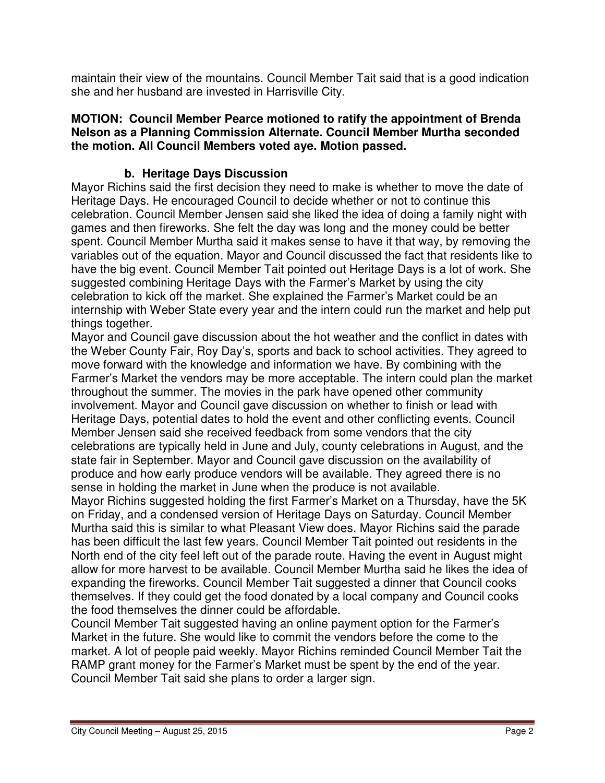maintain their view of the mountains. Council Member Tait said that is a good indication she and her husband are invested in Harrisville City.

### **MOTION: Council Member Pearce motioned to ratify the appointment of Brenda Nelson as a Planning Commission Alternate. Council Member Murtha seconded the motion. All Council Members voted aye. Motion passed.**

# **b. Heritage Days Discussion**

Mayor Richins said the first decision they need to make is whether to move the date of Heritage Days. He encouraged Council to decide whether or not to continue this celebration. Council Member Jensen said she liked the idea of doing a family night with games and then fireworks. She felt the day was long and the money could be better spent. Council Member Murtha said it makes sense to have it that way, by removing the variables out of the equation. Mayor and Council discussed the fact that residents like to have the big event. Council Member Tait pointed out Heritage Days is a lot of work. She suggested combining Heritage Days with the Farmer's Market by using the city celebration to kick off the market. She explained the Farmer's Market could be an internship with Weber State every year and the intern could run the market and help put things together.

Mayor and Council gave discussion about the hot weather and the conflict in dates with the Weber County Fair, Roy Day's, sports and back to school activities. They agreed to move forward with the knowledge and information we have. By combining with the Farmer's Market the vendors may be more acceptable. The intern could plan the market throughout the summer. The movies in the park have opened other community involvement. Mayor and Council gave discussion on whether to finish or lead with Heritage Days, potential dates to hold the event and other conflicting events. Council Member Jensen said she received feedback from some vendors that the city celebrations are typically held in June and July, county celebrations in August, and the state fair in September. Mayor and Council gave discussion on the availability of produce and how early produce vendors will be available. They agreed there is no sense in holding the market in June when the produce is not available.

Mayor Richins suggested holding the first Farmer's Market on a Thursday, have the 5K on Friday, and a condensed version of Heritage Days on Saturday. Council Member Murtha said this is similar to what Pleasant View does. Mayor Richins said the parade has been difficult the last few years. Council Member Tait pointed out residents in the North end of the city feel left out of the parade route. Having the event in August might allow for more harvest to be available. Council Member Murtha said he likes the idea of expanding the fireworks. Council Member Tait suggested a dinner that Council cooks themselves. If they could get the food donated by a local company and Council cooks the food themselves the dinner could be affordable.

Council Member Tait suggested having an online payment option for the Farmer's Market in the future. She would like to commit the vendors before the come to the market. A lot of people paid weekly. Mayor Richins reminded Council Member Tait the RAMP grant money for the Farmer's Market must be spent by the end of the year. Council Member Tait said she plans to order a larger sign.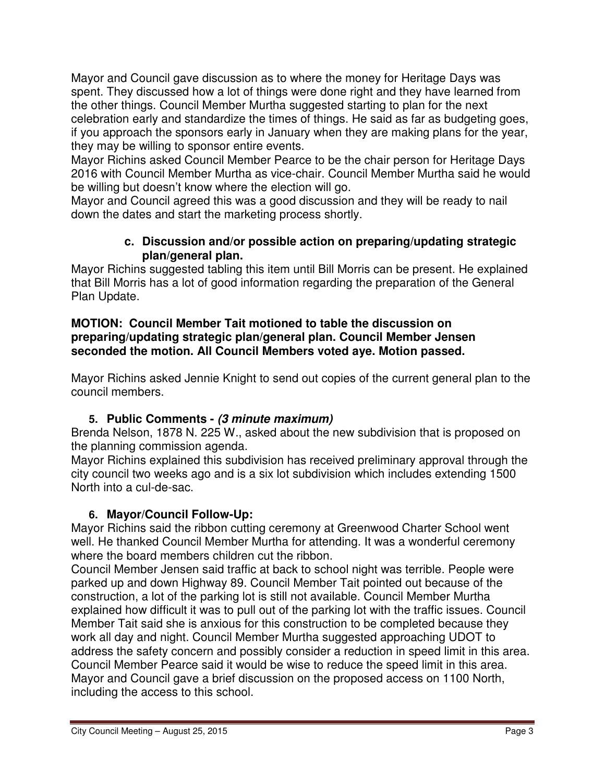Mayor and Council gave discussion as to where the money for Heritage Days was spent. They discussed how a lot of things were done right and they have learned from the other things. Council Member Murtha suggested starting to plan for the next celebration early and standardize the times of things. He said as far as budgeting goes, if you approach the sponsors early in January when they are making plans for the year, they may be willing to sponsor entire events.

Mayor Richins asked Council Member Pearce to be the chair person for Heritage Days 2016 with Council Member Murtha as vice-chair. Council Member Murtha said he would be willing but doesn't know where the election will go.

Mayor and Council agreed this was a good discussion and they will be ready to nail down the dates and start the marketing process shortly.

## **c. Discussion and/or possible action on preparing/updating strategic plan/general plan.**

Mayor Richins suggested tabling this item until Bill Morris can be present. He explained that Bill Morris has a lot of good information regarding the preparation of the General Plan Update.

## **MOTION: Council Member Tait motioned to table the discussion on preparing/updating strategic plan/general plan. Council Member Jensen seconded the motion. All Council Members voted aye. Motion passed.**

Mayor Richins asked Jennie Knight to send out copies of the current general plan to the council members.

# **5. Public Comments - (3 minute maximum)**

Brenda Nelson, 1878 N. 225 W., asked about the new subdivision that is proposed on the planning commission agenda.

Mayor Richins explained this subdivision has received preliminary approval through the city council two weeks ago and is a six lot subdivision which includes extending 1500 North into a cul-de-sac.

# **6. Mayor/Council Follow-Up:**

Mayor Richins said the ribbon cutting ceremony at Greenwood Charter School went well. He thanked Council Member Murtha for attending. It was a wonderful ceremony where the board members children cut the ribbon.

Council Member Jensen said traffic at back to school night was terrible. People were parked up and down Highway 89. Council Member Tait pointed out because of the construction, a lot of the parking lot is still not available. Council Member Murtha explained how difficult it was to pull out of the parking lot with the traffic issues. Council Member Tait said she is anxious for this construction to be completed because they work all day and night. Council Member Murtha suggested approaching UDOT to address the safety concern and possibly consider a reduction in speed limit in this area. Council Member Pearce said it would be wise to reduce the speed limit in this area. Mayor and Council gave a brief discussion on the proposed access on 1100 North, including the access to this school.